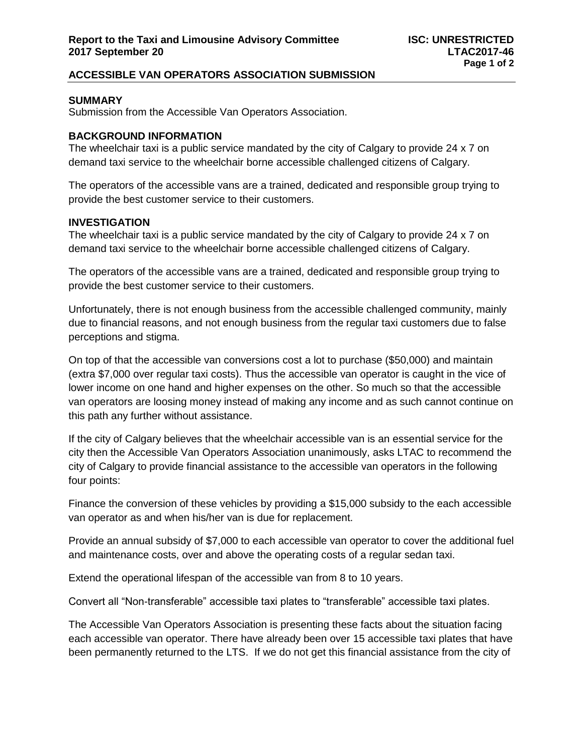# **ACCESSIBLE VAN OPERATORS ASSOCIATION SUBMISSION**

# **SUMMARY**

Submission from the Accessible Van Operators Association.

## **BACKGROUND INFORMATION**

The wheelchair taxi is a public service mandated by the city of Calgary to provide 24 x 7 on demand taxi service to the wheelchair borne accessible challenged citizens of Calgary.

The operators of the accessible vans are a trained, dedicated and responsible group trying to provide the best customer service to their customers.

# **INVESTIGATION**

The wheelchair taxi is a public service mandated by the city of Calgary to provide 24 x 7 on demand taxi service to the wheelchair borne accessible challenged citizens of Calgary.

The operators of the accessible vans are a trained, dedicated and responsible group trying to provide the best customer service to their customers.

Unfortunately, there is not enough business from the accessible challenged community, mainly due to financial reasons, and not enough business from the regular taxi customers due to false perceptions and stigma.

On top of that the accessible van conversions cost a lot to purchase (\$50,000) and maintain (extra \$7,000 over regular taxi costs). Thus the accessible van operator is caught in the vice of lower income on one hand and higher expenses on the other. So much so that the accessible van operators are loosing money instead of making any income and as such cannot continue on this path any further without assistance.

If the city of Calgary believes that the wheelchair accessible van is an essential service for the city then the Accessible Van Operators Association unanimously, asks LTAC to recommend the city of Calgary to provide financial assistance to the accessible van operators in the following four points:

Finance the conversion of these vehicles by providing a \$15,000 subsidy to the each accessible van operator as and when his/her van is due for replacement.

Provide an annual subsidy of \$7,000 to each accessible van operator to cover the additional fuel and maintenance costs, over and above the operating costs of a regular sedan taxi.

Extend the operational lifespan of the accessible van from 8 to 10 years.

Convert all "Non-transferable" accessible taxi plates to "transferable" accessible taxi plates.

The Accessible Van Operators Association is presenting these facts about the situation facing each accessible van operator. There have already been over 15 accessible taxi plates that have been permanently returned to the LTS. If we do not get this financial assistance from the city of